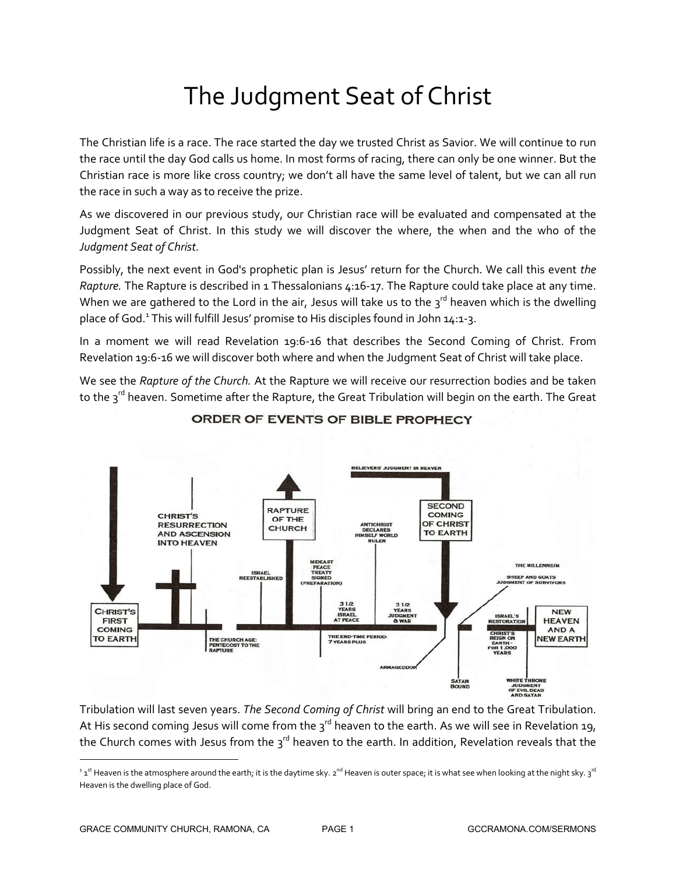# The Judgment Seat of Christ

The Christian life is a race. The race started the day we trusted Christ as Savior. We will continue to run the race until the day God calls us home. In most forms of racing, there can only be one winner. But the Christian race is more like cross country; we don't all have the same level of talent, but we can all run the race in such a way as to receive the prize.

As we discovered in our previous study, our Christian race will be evaluated and compensated at the Judgment Seat of Christ. In this study we will discover the where, the when and the who of the *Judgment Seat of Christ.*

Possibly, the next event in God's prophetic plan is Jesus' return for the Church. We call this event *the Rapture.* The Rapture is described in 1 Thessalonians 4:16-17. The Rapture could take place at any time. When we are gathered to the Lord in the air, Jesus will take us to the  $3^{rd}$  heaven which is the dwelling place of God.<sup>1</sup> This will fulfill Jesus' promise to His disciples found in John  $14:1-3$ .

In a moment we will read Revelation 19:6-16 that describes the Second Coming of Christ. From Revelation 19:6-16 we will discover both where and when the Judgment Seat of Christ will take place.

We see the *Rapture of the Church.* At the Rapture we will receive our resurrection bodies and be taken to the 3<sup>rd</sup> heaven. Sometime after the Rapture, the Great Tribulation will begin on the earth. The Great



# ORDER OF EVENTS OF BIBLE PROPHECY

Tribulation will last seven years. *The Second Coming of Christ* will bring an end to the Great Tribulation. At His second coming Jesus will come from the  $3^{rd}$  heaven to the earth. As we will see in Revelation 19, the Church comes with Jesus from the  $3^{rd}$  heaven to the earth. In addition, Revelation reveals that the

 $\overline{\phantom{a}}$ 

 $^{\rm 1}$  1st Heaven is the atmosphere around the earth; it is the daytime sky. 2nd Heaven is outer space; it is what see when looking at the night sky. 3 $^{\rm rd}$ Heaven is the dwelling place of God.